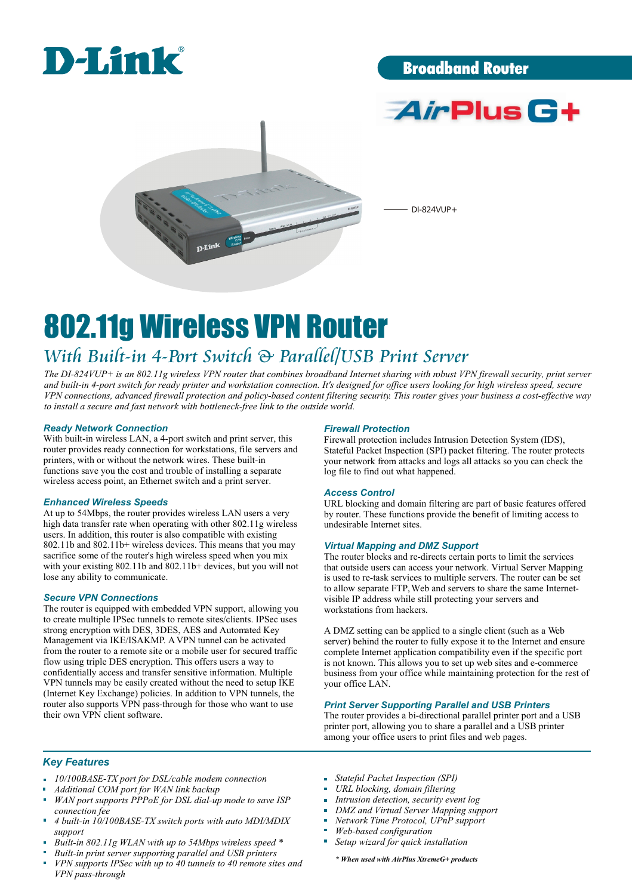

## Broadband Router





DI-824VUP+

# 802.11g Wireless VPN Router

# *With Built-in 4-Port Switch & Parallel/USB Print Server*

*The DI-824VUP+ is an 802.11g wireless VPN router that combines broadband Internet sharing with robust VPN firewall security, print server and built-in 4-port switch for ready printer and workstation connection. It's designed for office users looking for high wireless speed, secure VPN connections, advanced firewall protection and policy-based content filtering security. This router gives your business a cost-effective way to install a secure and fast network with bottleneck-free link to the outside world.*

#### *Ready Network Connection*

With built-in wireless LAN, a 4-port switch and print server, this router provides ready connection for workstations, file servers and printers, with or without the network wires. These built-in functions save you the cost and trouble of installing a separate wireless access point, an Ethernet switch and a print server.

#### *Enhanced Wireless Speeds*

At up to 54Mbps, the router provides wireless LAN users a very high data transfer rate when operating with other 802.11g wireless users. In addition, this router is also compatible with existing 802.11b and 802.11b+ wireless devices. This means that you may sacrifice some of the router's high wireless speed when you mix with your existing 802.11b and 802.11b+ devices, but you will not lose any ability to communicate.

#### *Secure VPN Connections*

The router is equipped with embedded VPN support, allowing you to create multiple IPSec tunnels to remote sites/clients. IPSec uses strong encryption with DES, 3DES, AES and Automated Key Management via IKE/ISAKMP. A VPN tunnel can be activated from the router to a remote site or a mobile user for secured traffic flow using triple DES encryption. This offers users a way to confidentially access and transfer sensitive information. Multiple VPN tunnels may be easily created without the need to setup IKE (Internet Key Exchange) policies. In addition to VPN tunnels, the router also supports VPN pass-through for those who want to use their own VPN client software.

#### *Firewall Protection*

Firewall protection includes Intrusion Detection System (IDS), Stateful Packet Inspection (SPI) packet filtering. The router protects your network from attacks and logs all attacks so you can check the log file to find out what happened.

#### *Access Control*

URL blocking and domain filtering are part of basic features offered by router. These functions provide the benefit of limiting access to undesirable Internet sites.

#### *Virtual Mapping and DMZ Support*

The router blocks and re-directs certain ports to limit the services that outside users can access your network. Virtual Server Mapping is used to re-task services to multiple servers. The router can be set to allow separate FTP, Web and servers to share the same Internetvisible IP address while still protecting your servers and workstations from hackers.

A DMZ setting can be applied to a single client (such as a Web server) behind the router to fully expose it to the Internet and ensure complete Internet application compatibility even if the specific port is not known. This allows you to set up web sites and e-commerce business from your office while maintaining protection for the rest of your office LAN.

#### *Print Server Supporting Parallel and USB Printers*

The router provides a bi-directional parallel printer port and a USB printer port, allowing you to share a parallel and a USB printer among your office users to print files and web pages.

#### *Key Features*

- *10/100BASE-TX port for DSL/cable modem connection*
- *Additional COM port for WAN link backup*
- *WAN port supports PPPoE for DSL dial-up mode to save ISP connection fee*
- *4 built-in 10/100BASE-TX switch ports with auto MDI/MDIX support*
- *Built-in 802.11g WLAN with up to 54Mbps wireless speed \**
- *Built-in print server supporting parallel and USB printers*
- *VPN supports IPSec with up to 40 tunnels to 40 remote sites and VPN pass-through*
- *Stateful Packet Inspection (SPI)*
- *URL blocking, domain filtering*
- *Intrusion detection, security event log*
- $\overline{\mathbf{u}}$ *DMZ and Virtual Server Mapping support*
- *Network Time Protocol, UPnP support*
- *Web-based configuration* i.
- *Setup wizard for quick installation*

*\* When used with AirPlus XtremeG+ products*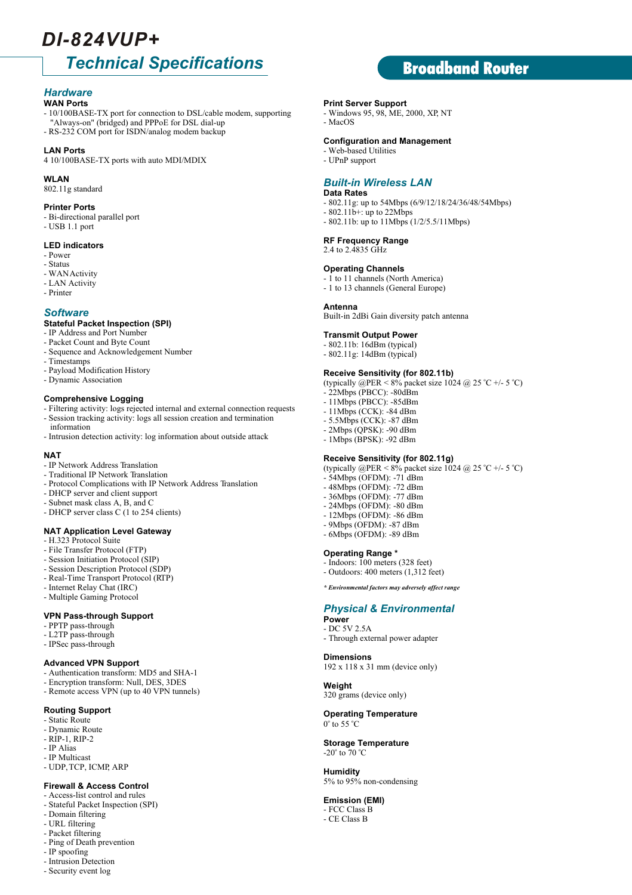# *DI-824VUP+*

# *Technical Specifications*

### *Hardware*

- **WAN Ports**
- 10/100BASE-TX port for connection to DSL/cable modem, supporting "Always-on" (bridged) and PPPoE for DSL dial-up
- RS-232 COM port for ISDN/analog modem backup

#### **LAN Ports**

4 10/100BASE-TX ports with auto MDI/MDIX

#### **WLAN**

802.11g standard

#### **Printer Ports**

- Bi-directional parallel port
- USB 1.1 port

#### **LED indicators**

- Power
- Status
- WAN Activity
- LAN Activity
- Printer

#### *Software*

#### **Stateful Packet Inspection (SPI)**

- IP Address and Port Number
- Packet Count and Byte Count
- Sequence and Acknowledgement Number
- Timestamps
- Payload Modification History
- Dynamic Association

#### **Comprehensive Logging**

- Filtering activity: logs rejected internal and external connection requests - Session tracking activity: logs all session creation and termination information
- Intrusion detection activity: log information about outside attack

#### **NAT**

- IP Network Address Translation
- Traditional IP Network Translation
- Protocol Complications with IP Network Address Translation
- DHCP server and client support
- Subnet mask class A, B, and C
- DHCP server class C (1 to 254 clients)

#### **NAT Application Level Gateway**

- H.323 Protocol Suite
- File Transfer Protocol (FTP)
- Session Initiation Protocol (SIP)
- Session Description Protocol (SDP)
- Real-Time Transport Protocol (RTP)
- Internet Relay Chat (IRC)
- Multiple Gaming Protocol

#### **VPN Pass-through Support**

- PPTP pass-through
- L2TP pass-through
- IPSec pass-through

#### **Advanced VPN Support**

- Authentication transform: MD5 and SHA-1
- Encryption transform: Null, DES, 3DES
- Remote access VPN (up to 40 VPN tunnels)

#### **Routing Support**

#### - Static Route

- Dynamic Route
- RIP-1, RIP-2
- IP Alias
- IP Multicast
- UDP, TCP, ICMP, ARP

#### **Firewall & Access Control**

- Access-list control and rules
- Stateful Packet Inspection (SPI)
- Domain filtering
- URL filtering
- Packet filtering
- Ping of Death prevention
- IP spoofing
- Intrusion Detection
- Security event log

#### **Print Server Support**

- Windows 95, 98, ME, 2000, XP, NT
- MacOS

#### **Configuration and Management**

- Web-based Utilities
- UPnP support

#### *Built-in Wireless LAN*

#### **Data Rates**

- 802.11g: up to 54Mbps (6/9/12/18/24/36/48/54Mbps)

Broadband Router

- 802.11b+: up to 22Mbps - 802.11b: up to 11Mbps (1/2/5.5/11Mbps)
- 

#### **RF Frequency Range**  2.4 to 2.4835 GHz

#### **Operating Channels**

- 1 to 11 channels (North America)
- 1 to 13 channels (General Europe)

#### **Antenna**

Built-in 2dBi Gain diversity patch antenna

#### **Transmit Output Power**

- 802.11b: 16dBm (typical)
- 802.11g: 14dBm (typical)

#### **Receive Sensitivity (for 802.11b)**

(typically @PER < 8% packet size 1024 @ 25 °C +/- 5 °C)

- 22Mbps (PBCC): -80dBm
- 11Mbps (PBCC): -85dBm
- 11Mbps (CCK): -84 dBm
- 5.5Mbps (CCK): -87 dBm
- 2Mbps (QPSK): -90 dBm - 1Mbps (BPSK): -92 dBm
- 

 $-54$ Mbps (OFDM):  $-71$  dBm - 48Mbps (OFDM): -72 dBm - 36Mbps (OFDM): -77 dBm - 24Mbps (OFDM): -80 dBm - 12Mbps (OFDM): -86 dBm - 9Mbps (OFDM): -87 dBm - 6Mbps (OFDM): -89 dBm

**Operating Range \*** - Indoors: 100 meters (328 feet) - Outdoors: 400 meters (1,312 feet) *\* Environmental factors may adversely affect range*

- Through external power adapter

*Physical & Environmental*

192 x 118 x 31 mm (device only)

320 grams (device only) **Operating Temperature**

**Storage Temperature**

5% to 95% non-condensing

**Power** - DC 5V 2.5A

**Weight**

 $0^\circ$  to 55  $^\circ$ C

-20 $^{\circ}$  to 70  $^{\circ}$ C **Humidity**

**Emission (EMI)** - FCC Class B - CE Class B

**Dimensions**

#### **Receive Sensitivity (for 802.11g)** (typically @PER < 8% packet size 1024 @ 25 °C +/- 5 °C)